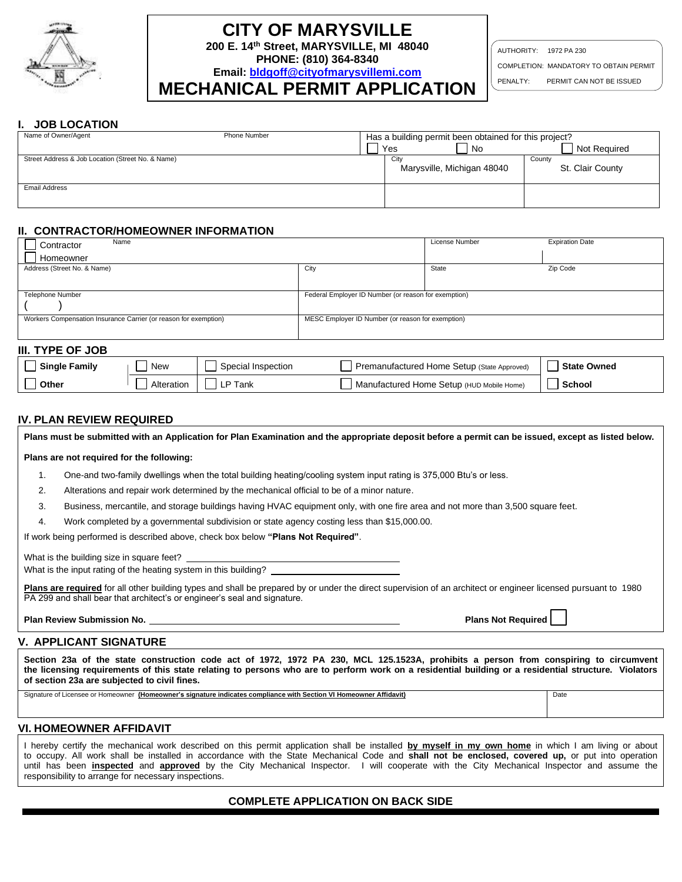

# **CITY OF MARYSVILLE**

**200 E. 14th Street, MARYSVILLE, MI 48040**

**PHONE: (810) 364-8340 Email: [bldgoff@cityofmarysvillemi.com](mailto:bldgoff@cityofmarysvillemi.com)** AUTHORITY: 1972 PA 230

COMPLETION: MANDATORY TO OBTAIN PERMIT

PENALTY: PERMIT CAN NOT BE ISSUED

## **MECHANICAL PERMIT APPLICATION**

#### **I. JOB LOCATION**

| Name of Owner/Agent                               | Phone Number | Has a building permit been obtained for this project? |                  |  |  |  |
|---------------------------------------------------|--------------|-------------------------------------------------------|------------------|--|--|--|
|                                                   |              | Yes<br>No                                             | Not Required     |  |  |  |
| Street Address & Job Location (Street No. & Name) |              | City                                                  | County           |  |  |  |
|                                                   |              | Marysville, Michigan 48040                            | St. Clair County |  |  |  |
|                                                   |              |                                                       |                  |  |  |  |
| <b>Email Address</b>                              |              |                                                       |                  |  |  |  |
|                                                   |              |                                                       |                  |  |  |  |
|                                                   |              |                                                       |                  |  |  |  |

#### **II. CONTRACTOR/HOMEOWNER INFORMATION**

| Name<br>Contractor                                               |                                                      | License Number | <b>Expiration Date</b> |  |
|------------------------------------------------------------------|------------------------------------------------------|----------------|------------------------|--|
| Homeowner                                                        |                                                      |                |                        |  |
| Address (Street No. & Name)                                      | City                                                 | State          | Zip Code               |  |
|                                                                  |                                                      |                |                        |  |
| Telephone Number                                                 | Federal Employer ID Number (or reason for exemption) |                |                        |  |
|                                                                  |                                                      |                |                        |  |
| Workers Compensation Insurance Carrier (or reason for exemption) | MESC Employer ID Number (or reason for exemption)    |                |                        |  |
|                                                                  |                                                      |                |                        |  |
| III. TYPE OF JOB                                                 |                                                      |                |                        |  |
| $\overline{\phantom{a}}$                                         |                                                      |                |                        |  |

| <b>Single Family</b> | New        | Special Inspection | Premanufactured Home Setup (State Approved) | <b>State Owned</b> |
|----------------------|------------|--------------------|---------------------------------------------|--------------------|
| Other                | Alteration | LP Tank            | Manufactured Home Setup (HUD Mobile Home)   | School             |

### **IV. PLAN REVIEW REQUIRED**

**Plans must be submitted with an Application for Plan Examination and the appropriate deposit before a permit can be issued, except as listed below.**

#### **Plans are not required for the following:**

- 1. One-and two-family dwellings when the total building heating/cooling system input rating is 375,000 Btu's or less.
- 2. Alterations and repair work determined by the mechanical official to be of a minor nature.
- 3. Business, mercantile, and storage buildings having HVAC equipment only, with one fire area and not more than 3,500 square feet.
- 4. Work completed by a governmental subdivision or state agency costing less than \$15,000.00.

If work being performed is described above, check box below **"Plans Not Required"**.

What is the building size in square feet?

What is the input rating of the heating system in this building?

Plans are required for all other building types and shall be prepared by or under the direct supervision of an architect or engineer licensed pursuant to 1980 PA 299 and shall bear that architect's or engineer's seal and signature.

**Plan Review Submission No. Plans Not Required** 

#### **V. APPLICANT SIGNATURE**

**Section 23a of the state construction code act of 1972, 1972 PA 230, MCL 125.1523A, prohibits a person from conspiring to circumvent the licensing requirements of this state relating to persons who are to perform work on a residential building or a residential structure. Violators of section 23a are subjected to civil fines.** 

Signature of Licensee or Homeowner **(Homeowner's signature indicates compliance with Section VI Homeowner Affidavit)** Date

#### **VI. HOMEOWNER AFFIDAVIT**

I hereby certify the mechanical work described on this permit application shall be installed **by myself in my own home** in which I am living or about to occupy. All work shall be installed in accordance with the State Mechanical Code and **shall not be enclosed, covered up,** or put into operation until has been **inspected** and **approved** by the City Mechanical Inspector. I will cooperate with the City Mechanical Inspector and assume the responsibility to arrange for necessary inspections.

#### **COMPLETE APPLICATION ON BACK SIDE**